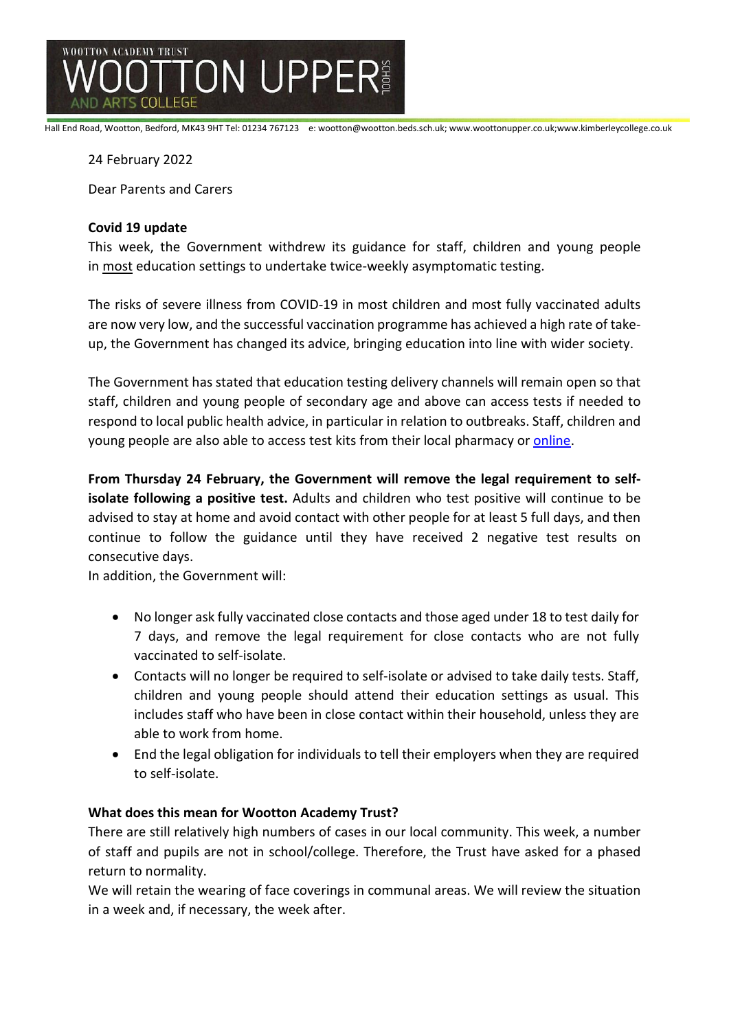

Hall End Road, Wootton, Bedford, MK43 9HT Tel: 01234 767123 e: wootton@wootton.beds.sch.uk; www.woottonupper.co.uk;www.kimberleycollege.co.uk

24 February 2022

Dear Parents and Carers

## **Covid 19 update**

This week, the Government withdrew its guidance for staff, children and young people in most education settings to undertake twice-weekly asymptomatic testing.

The risks of severe illness from COVID-19 in most children and most fully vaccinated adults are now very low, and the successful vaccination programme has achieved a high rate of takeup, the Government has changed its advice, bringing education into line with wider society.

The Government has stated that education testing delivery channels will remain open so that staff, children and young people of secondary age and above can access tests if needed to respond to local public health advice, in particular in relation to outbreaks. Staff, children and young people are also able to access test kits from their local pharmacy or [online.](https://www.gov.uk/order-coronavirus-rapid-lateral-flow-tests?utm_source=21%20February%202022%20C19&utm_medium=Daily%20Email%20C19&utm_campaign=DfE%20C19)

**From Thursday 24 February, the Government will remove the legal requirement to selfisolate following a positive test.** Adults and children who test positive will continue to be advised to stay at home and avoid contact with other people for at least 5 full days, and then continue to follow the guidance until they have received 2 negative test results on consecutive days.

In addition, the Government will:

- No longer ask fully vaccinated close contacts and those aged under 18 to test daily for 7 days, and remove the legal requirement for close contacts who are not fully vaccinated to self-isolate.
- Contacts will no longer be required to self-isolate or advised to take daily tests. Staff, children and young people should attend their education settings as usual. This includes staff who have been in close contact within their household, unless they are able to work from home.
- End the legal obligation for individuals to tell their employers when they are required to self-isolate.

## **What does this mean for Wootton Academy Trust?**

There are still relatively high numbers of cases in our local community. This week, a number of staff and pupils are not in school/college. Therefore, the Trust have asked for a phased return to normality.

We will retain the wearing of face coverings in communal areas. We will review the situation in a week and, if necessary, the week after.